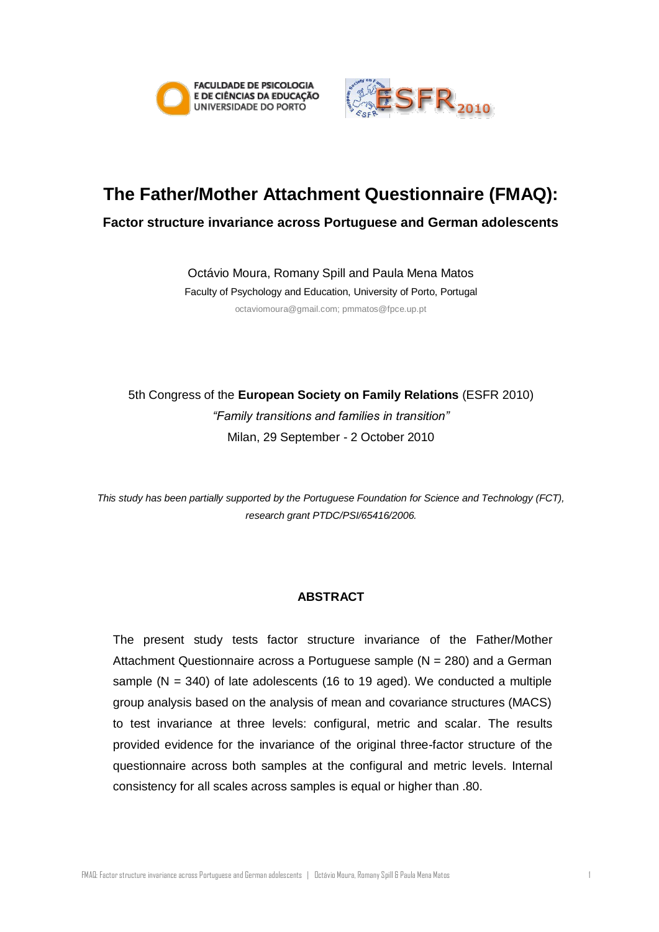



# **The Father/Mother Attachment Questionnaire (FMAQ):**

**Factor structure invariance across Portuguese and German adolescents**

Octávio Moura, Romany Spill and Paula Mena Matos

Faculty of Psychology and Education, University of Porto, Portugal octaviomoura@gmail.com; pmmatos@fpce.up.pt

5th Congress of the **European Society on Family Relations** (ESFR 2010) *"Family transitions and families in transition"* Milan, 29 September - 2 October 2010

*This study has been partially supported by the Portuguese Foundation for Science and Technology (FCT), research grant PTDC/PSI/65416/2006.*

# **ABSTRACT**

The present study tests factor structure invariance of the Father/Mother Attachment Questionnaire across a Portuguese sample  $(N = 280)$  and a German sample  $(N = 340)$  of late adolescents (16 to 19 aged). We conducted a multiple group analysis based on the analysis of mean and covariance structures (MACS) to test invariance at three levels: configural, metric and scalar. The results provided evidence for the invariance of the original three-factor structure of the questionnaire across both samples at the configural and metric levels. Internal consistency for all scales across samples is equal or higher than .80.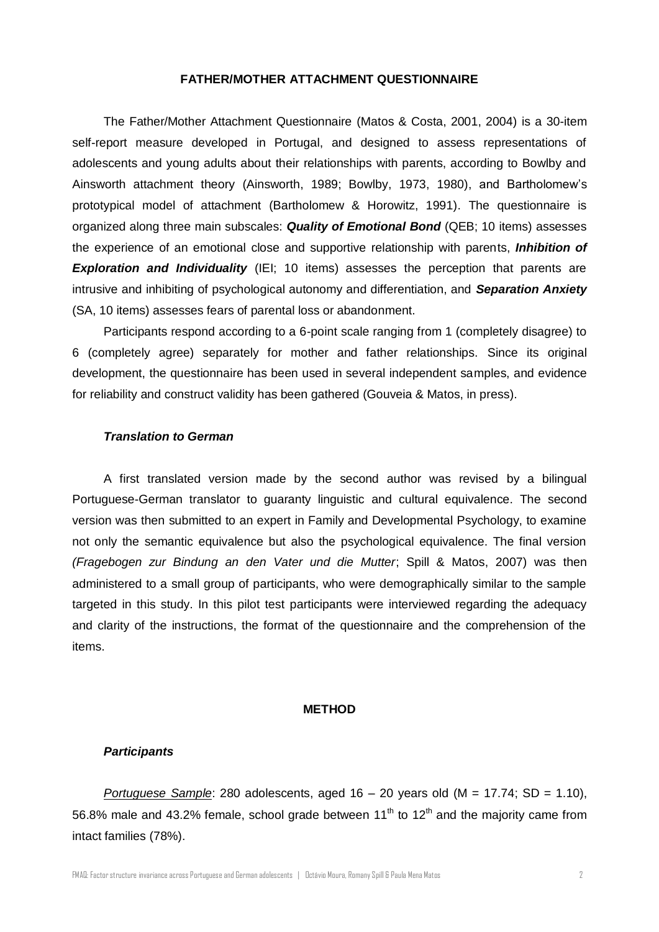## **FATHER/MOTHER ATTACHMENT QUESTIONNAIRE**

The Father/Mother Attachment Questionnaire (Matos & Costa, 2001, 2004) is a 30-item self-report measure developed in Portugal, and designed to assess representations of adolescents and young adults about their relationships with parents, according to Bowlby and Ainsworth attachment theory (Ainsworth, 1989; Bowlby, 1973, 1980), and Bartholomew's prototypical model of attachment (Bartholomew & Horowitz, 1991). The questionnaire is organized along three main subscales: *Quality of Emotional Bond* (QEB; 10 items) assesses the experience of an emotional close and supportive relationship with parents, *Inhibition of*  **Exploration and Individuality** (IEI; 10 items) assesses the perception that parents are intrusive and inhibiting of psychological autonomy and differentiation, and *Separation Anxiety* (SA, 10 items) assesses fears of parental loss or abandonment.

Participants respond according to a 6-point scale ranging from 1 (completely disagree) to 6 (completely agree) separately for mother and father relationships. Since its original development, the questionnaire has been used in several independent samples, and evidence for reliability and construct validity has been gathered (Gouveia & Matos, in press).

## *Translation to German*

A first translated version made by the second author was revised by a bilingual Portuguese-German translator to guaranty linguistic and cultural equivalence. The second version was then submitted to an expert in Family and Developmental Psychology, to examine not only the semantic equivalence but also the psychological equivalence. The final version *(Fragebogen zur Bindung an den Vater und die Mutter*; Spill & Matos, 2007) was then administered to a small group of participants, who were demographically similar to the sample targeted in this study. In this pilot test participants were interviewed regarding the adequacy and clarity of the instructions, the format of the questionnaire and the comprehension of the items.

## **METHOD**

#### *Participants*

*Portuguese Sample*: 280 adolescents, aged 16 – 20 years old (M = 17.74; SD = 1.10), 56.8% male and 43.2% female, school grade between  $11<sup>th</sup>$  to  $12<sup>th</sup>$  and the majority came from intact families (78%).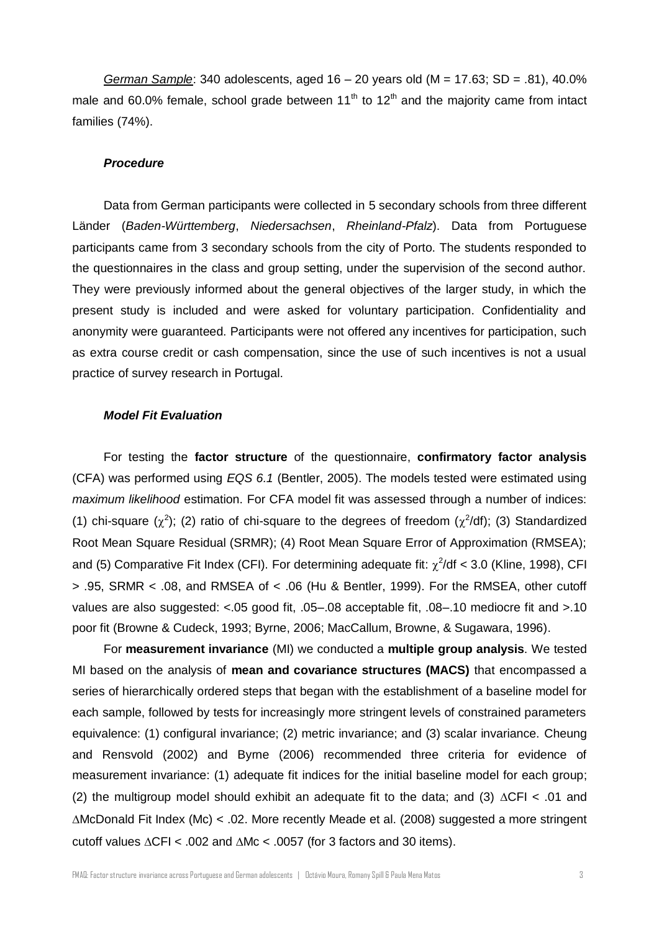*German Sample*: 340 adolescents, aged 16 – 20 years old (M = 17.63; SD = .81), 40.0% male and 60.0% female, school grade between 11<sup>th</sup> to 12<sup>th</sup> and the majority came from intact families (74%).

#### *Procedure*

Data from German participants were collected in 5 secondary schools from three different Länder (*Baden-Württemberg*, *Niedersachsen*, *Rheinland-Pfalz*). Data from Portuguese participants came from 3 secondary schools from the city of Porto. The students responded to the questionnaires in the class and group setting, under the supervision of the second author. They were previously informed about the general objectives of the larger study, in which the present study is included and were asked for voluntary participation. Confidentiality and anonymity were guaranteed. Participants were not offered any incentives for participation, such as extra course credit or cash compensation, since the use of such incentives is not a usual practice of survey research in Portugal.

#### *Model Fit Evaluation*

For testing the **factor structure** of the questionnaire, **confirmatory factor analysis** (CFA) was performed using *EQS 6.1* (Bentler, 2005). The models tested were estimated using *maximum likelihood* estimation. For CFA model fit was assessed through a number of indices: (1) chi-square  $(\chi^2)$ ; (2) ratio of chi-square to the degrees of freedom  $(\chi^2/df)$ ; (3) Standardized Root Mean Square Residual (SRMR); (4) Root Mean Square Error of Approximation (RMSEA); and (5) Comparative Fit Index (CFI). For determining adequate fit:  $\chi^2$ /df < 3.0 (Kline, 1998), CFI > .95, SRMR < .08, and RMSEA of < .06 (Hu & Bentler, 1999). For the RMSEA, other cutoff values are also suggested: <.05 good fit, .05–.08 acceptable fit, .08–.10 mediocre fit and >.10 poor fit (Browne & Cudeck, 1993; Byrne, 2006; MacCallum, Browne, & Sugawara, 1996).

For **measurement invariance** (MI) we conducted a **multiple group analysis**. We tested MI based on the analysis of **mean and covariance structures (MACS)** that encompassed a series of hierarchically ordered steps that began with the establishment of a baseline model for each sample, followed by tests for increasingly more stringent levels of constrained parameters equivalence: (1) configural invariance; (2) metric invariance; and (3) scalar invariance. Cheung and Rensvold (2002) and Byrne (2006) recommended three criteria for evidence of measurement invariance: (1) adequate fit indices for the initial baseline model for each group; (2) the multigroup model should exhibit an adequate fit to the data; and (3)  $\triangle$ CFI < .01 and McDonald Fit Index (Mc) < .02. More recently Meade et al. (2008) suggested a more stringent cutoff values  $\triangle CFI < .002$  and  $\triangle Mc < .0057$  (for 3 factors and 30 items).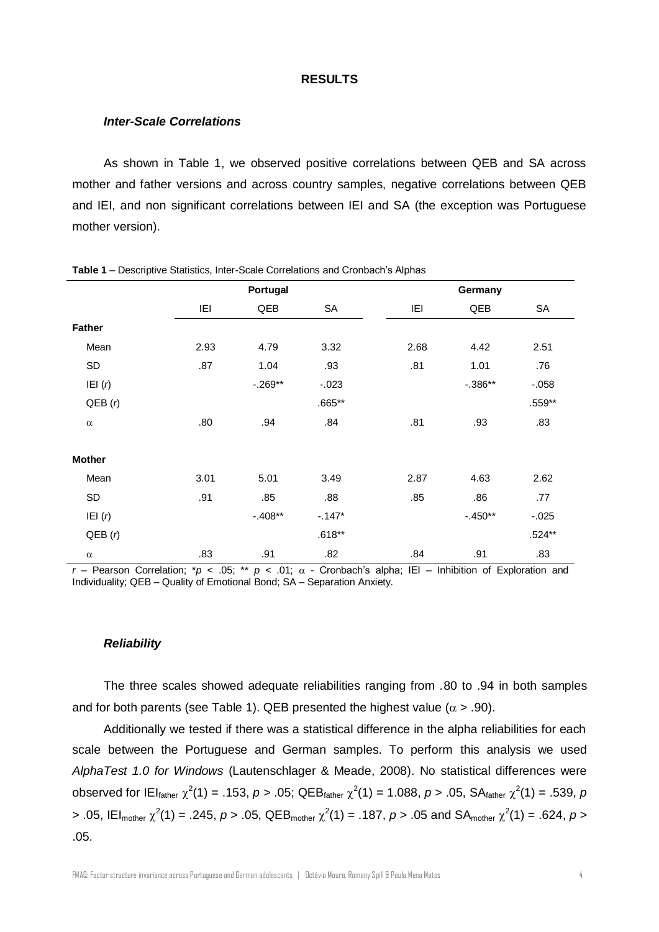#### **RESULTS**

#### *Inter-Scale Correlations*

As shown in Table 1, we observed positive correlations between QEB and SA across mother and father versions and across country samples, negative correlations between QEB and IEI, and non significant correlations between IEI and SA (the exception was Portuguese mother version).

|               |      | Portugal  |           |      | Germany   |          |  |  |
|---------------|------|-----------|-----------|------|-----------|----------|--|--|
|               | IEI  | QEB       | <b>SA</b> | IEI  | QEB       | SA       |  |  |
| <b>Father</b> |      |           |           |      |           |          |  |  |
| Mean          | 2.93 | 4.79      | 3.32      | 2.68 | 4.42      | 2.51     |  |  |
| SD            | .87  | 1.04      | .93       | .81  | 1.01      | .76      |  |  |
| IEI $(r)$     |      | $-.269**$ | $-.023$   |      | $-.386**$ | $-.058$  |  |  |
| QEB(r)        |      |           | $.665**$  |      |           | $.559**$ |  |  |
| $\alpha$      | .80  | .94       | .84       | .81  | .93       | .83      |  |  |
| <b>Mother</b> |      |           |           |      |           |          |  |  |
| Mean          | 3.01 | 5.01      | 3.49      | 2.87 | 4.63      | 2.62     |  |  |
| SD            | .91  | .85       | .88       | .85  | .86       | .77      |  |  |
| IEI $(r)$     |      | $-.408**$ | $-147*$   |      | $-.450**$ | $-.025$  |  |  |
| QEB(r)        |      |           | $.618**$  |      |           | $.524**$ |  |  |
| $\alpha$      | .83  | .91       | .82       | .84  | .91       | .83      |  |  |

**Table 1** – Descriptive Statistics, Inter-Scale Correlations and Cronbach's Alphas

 $r$  – Pearson Correlation; \**p* < .05; \*\* *p* < .01;  $\alpha$  - Cronbach's alpha; IEI – Inhibition of Exploration and Individuality; QEB – Quality of Emotional Bond; SA – Separation Anxiety.

#### *Reliability*

The three scales showed adequate reliabilities ranging from .80 to .94 in both samples and for both parents (see Table 1). QEB presented the highest value ( $\alpha$  > .90).

Additionally we tested if there was a statistical difference in the alpha reliabilities for each scale between the Portuguese and German samples. To perform this analysis we used *AlphaTest 1.0 for Windows* (Lautenschlager & Meade, 2008). No statistical differences were observed for IEI<sub>father</sub>  $\chi^2(1) = .153$ ,  $p > .05$ ; QEB<sub>father</sub>  $\chi^2(1) = 1.088$ ,  $p > .05$ , SA<sub>father</sub>  $\chi^2(1) = .539$ ,  $p$ > .05, IEI<sub>mother</sub>  $\chi^2(1)$  = .245, *p* > .05, QEB<sub>mother</sub>  $\chi^2(1)$  = .187, *p* > .05 and SA<sub>mother</sub>  $\chi^2(1)$  = .624, *p* > .05.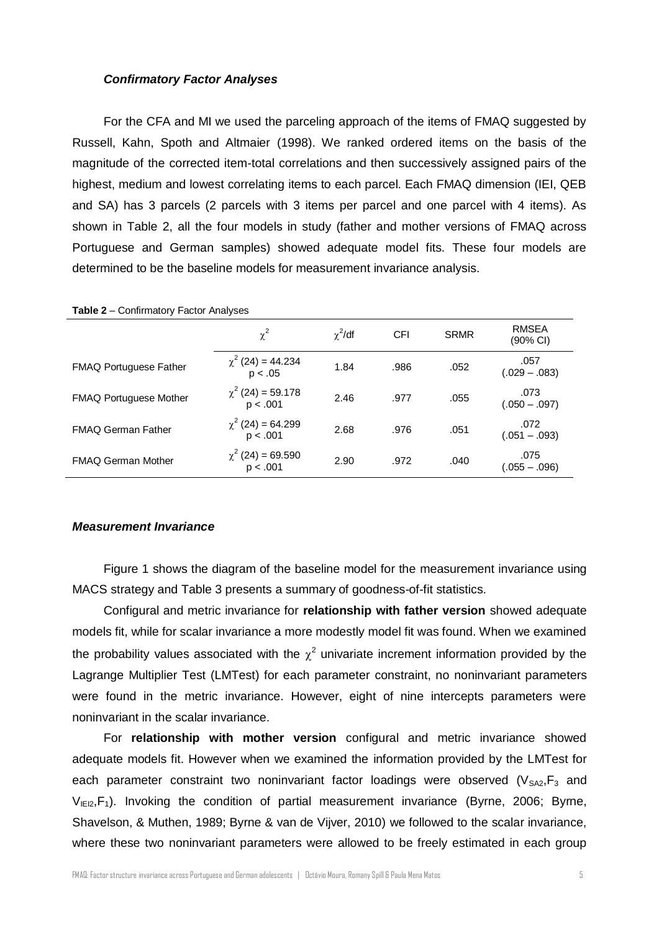## *Confirmatory Factor Analyses*

For the CFA and MI we used the parceling approach of the items of FMAQ suggested by Russell, Kahn, Spoth and Altmaier (1998). We ranked ordered items on the basis of the magnitude of the corrected item-total correlations and then successively assigned pairs of the highest, medium and lowest correlating items to each parcel. Each FMAQ dimension (IEI, QEB and SA) has 3 parcels (2 parcels with 3 items per parcel and one parcel with 4 items). As shown in Table 2, all the four models in study (father and mother versions of FMAQ across Portuguese and German samples) showed adequate model fits. These four models are determined to be the baseline models for measurement invariance analysis.

|                               | $\chi^2$                           | $\chi^2$ /df | <b>CFI</b> | <b>SRMR</b> | <b>RMSEA</b><br>(90% CI) |
|-------------------------------|------------------------------------|--------------|------------|-------------|--------------------------|
| <b>FMAQ Portuguese Father</b> | $\chi^2$ (24) = 44.234<br>p < .05  | 1.84         | .986       | .052        | .057<br>$(.029 - .083)$  |
| <b>FMAQ Portuguese Mother</b> | $\chi^2$ (24) = 59.178<br>p < .001 | 2.46         | .977       | .055        | .073<br>$(.050 - .097)$  |
| <b>FMAQ German Father</b>     | $\chi^2$ (24) = 64.299<br>p < .001 | 2.68         | .976       | .051        | .072<br>$(.051 - .093)$  |
| <b>FMAQ German Mother</b>     | $\chi^2$ (24) = 69.590<br>p < .001 | 2.90         | .972       | .040        | .075<br>(.055 – .096)    |

**Table 2** – Confirmatory Factor Analyses

## *Measurement Invariance*

Figure 1 shows the diagram of the baseline model for the measurement invariance using MACS strategy and Table 3 presents a summary of goodness-of-fit statistics.

Configural and metric invariance for **relationship with father version** showed adequate models fit, while for scalar invariance a more modestly model fit was found. When we examined the probability values associated with the  $\chi^2$  univariate increment information provided by the Lagrange Multiplier Test (LMTest) for each parameter constraint, no noninvariant parameters were found in the metric invariance. However, eight of nine intercepts parameters were noninvariant in the scalar invariance.

For **relationship with mother version** configural and metric invariance showed adequate models fit. However when we examined the information provided by the LMTest for each parameter constraint two noninvariant factor loadings were observed  $(V_{SAZ}, F_3$  and  $V_{IE12},F_1$ ). Invoking the condition of partial measurement invariance (Byrne, 2006; Byrne, Shavelson, & Muthen, 1989; Byrne & van de Vijver, 2010) we followed to the scalar invariance, where these two noninvariant parameters were allowed to be freely estimated in each group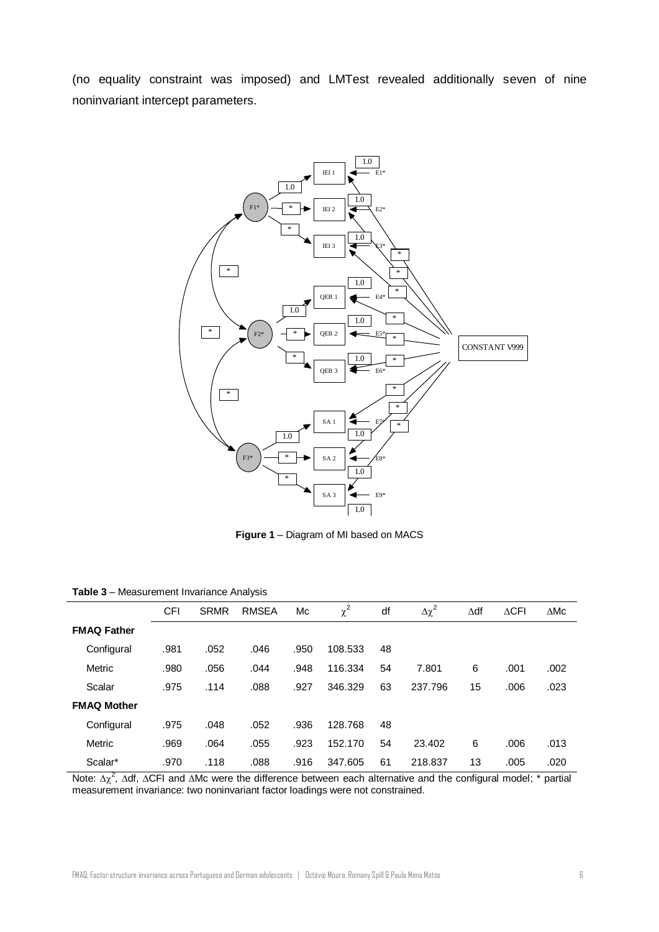(no equality constraint was imposed) and LMTest revealed additionally seven of nine noninvariant intercept parameters.



**Figure 1** – Diagram of MI based on MACS

| .<br><b>MODULON CONTRACTOR AND AND SOLUTION</b> |            |             |              |      |          |    |                |             |                 |                |
|-------------------------------------------------|------------|-------------|--------------|------|----------|----|----------------|-------------|-----------------|----------------|
|                                                 | <b>CFI</b> | <b>SRMR</b> | <b>RMSEA</b> | Mc   | $\chi^2$ | df | $\Delta\chi^2$ | $\Delta df$ | $\triangle$ CFI | $\triangle$ Mc |
| <b>FMAQ Father</b>                              |            |             |              |      |          |    |                |             |                 |                |
| Configural                                      | .981       | .052        | .046         | .950 | 108.533  | 48 |                |             |                 |                |
| Metric                                          | .980       | .056        | .044         | .948 | 116.334  | 54 | 7.801          | 6           | .001            | .002           |
| Scalar                                          | .975       | .114        | .088         | .927 | 346.329  | 63 | 237.796        | 15          | .006            | .023           |
| <b>FMAQ Mother</b>                              |            |             |              |      |          |    |                |             |                 |                |
| Configural                                      | .975       | .048        | .052         | .936 | 128.768  | 48 |                |             |                 |                |
| Metric                                          | .969       | .064        | .055         | .923 | 152.170  | 54 | 23.402         | 6           | .006            | .013           |
| Scalar*                                         | .970       | .118        | .088         | .916 | 347.605  | 61 | 218.837        | 13          | .005            | .020           |

**Table 3** – Measurement Invariance Analysis

Note:  $\Delta \chi^2$ ,  $\Delta$ df,  $\Delta$ CFI and  $\Delta$ Mc were the difference between each alternative and the configural model; \* partial measurement invariance: two noninvariant factor loadings were not constrained.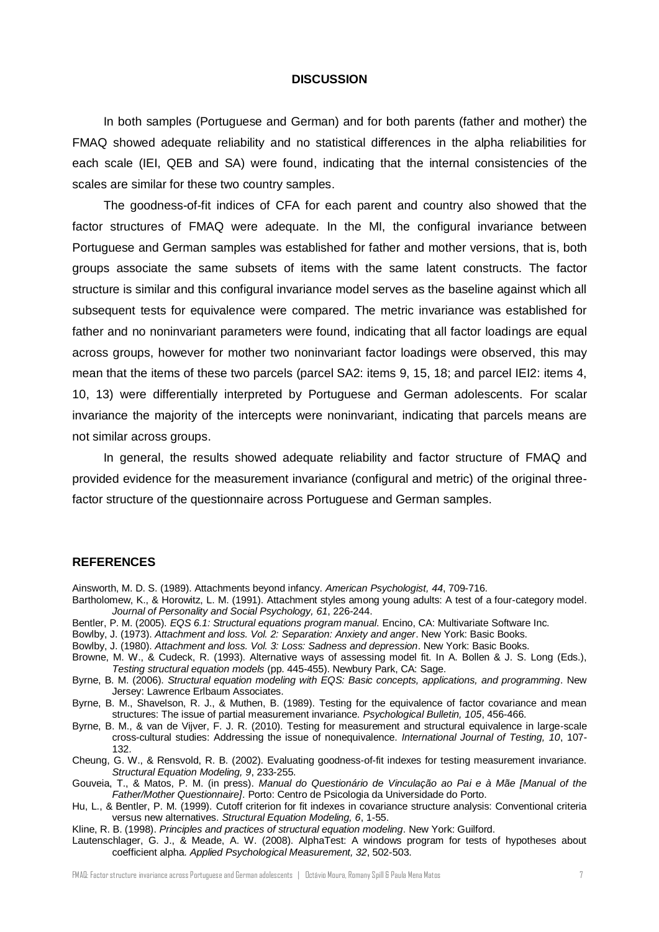#### **DISCUSSION**

In both samples (Portuguese and German) and for both parents (father and mother) the FMAQ showed adequate reliability and no statistical differences in the alpha reliabilities for each scale (IEI, QEB and SA) were found, indicating that the internal consistencies of the scales are similar for these two country samples.

The goodness-of-fit indices of CFA for each parent and country also showed that the factor structures of FMAQ were adequate. In the MI, the configural invariance between Portuguese and German samples was established for father and mother versions, that is, both groups associate the same subsets of items with the same latent constructs. The factor structure is similar and this configural invariance model serves as the baseline against which all subsequent tests for equivalence were compared. The metric invariance was established for father and no noninvariant parameters were found, indicating that all factor loadings are equal across groups, however for mother two noninvariant factor loadings were observed, this may mean that the items of these two parcels (parcel SA2: items 9, 15, 18; and parcel IEI2: items 4, 10, 13) were differentially interpreted by Portuguese and German adolescents. For scalar invariance the majority of the intercepts were noninvariant, indicating that parcels means are not similar across groups.

In general, the results showed adequate reliability and factor structure of FMAQ and provided evidence for the measurement invariance (configural and metric) of the original threefactor structure of the questionnaire across Portuguese and German samples.

## **REFERENCES**

- Ainsworth, M. D. S. (1989). Attachments beyond infancy. *American Psychologist, 44*, 709-716.
- Bartholomew, K., & Horowitz, L. M. (1991). Attachment styles among young adults: A test of a four-category model. *Journal of Personality and Social Psychology, 61*, 226-244.
- Bentler, P. M. (2005). *EQS 6.1: Structural equations program manual*. Encino, CA: Multivariate Software Inc.
- Bowlby, J. (1973). *Attachment and loss. Vol. 2: Separation: Anxiety and anger*. New York: Basic Books.
- Bowlby, J. (1980). *Attachment and loss. Vol. 3: Loss: Sadness and depression*. New York: Basic Books.
- Browne, M. W., & Cudeck, R. (1993). Alternative ways of assessing model fit. In A. Bollen & J. S. Long (Eds.), *Testing structural equation models* (pp. 445-455). Newbury Park, CA: Sage.
- Byrne, B. M. (2006). *Structural equation modeling with EQS: Basic concepts, applications, and programming*. New Jersey: Lawrence Erlbaum Associates.

Byrne, B. M., Shavelson, R. J., & Muthen, B. (1989). Testing for the equivalence of factor covariance and mean structures: The issue of partial measurement invariance. *Psychological Bulletin, 105*, 456-466.

Byrne, B. M., & van de Vijver, F. J. R. (2010). Testing for measurement and structural equivalence in large-scale cross-cultural studies: Addressing the issue of nonequivalence. *International Journal of Testing, 10*, 107- 132.

Cheung, G. W., & Rensvold, R. B. (2002). Evaluating goodness-of-fit indexes for testing measurement invariance. *Structural Equation Modeling, 9*, 233-255.

Gouveia, T., & Matos, P. M. (in press). *Manual do Questionário de Vinculação ao Pai e à Mãe [Manual of the Father/Mother Questionnaire]*. Porto: Centro de Psicologia da Universidade do Porto.

Hu, L., & Bentler, P. M. (1999). Cutoff criterion for fit indexes in covariance structure analysis: Conventional criteria versus new alternatives. *Structural Equation Modeling, 6*, 1-55.

Kline, R. B. (1998). *Principles and practices of structural equation modeling*. New York: Guilford.

Lautenschlager, G. J., & Meade, A. W. (2008). AlphaTest: A windows program for tests of hypotheses about coefficient alpha. *Applied Psychological Measurement, 32*, 502-503.